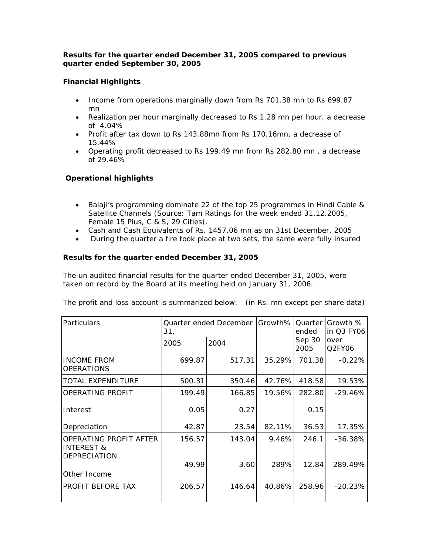## *Results for the quarter ended December 31, 2005 compared to previous quarter ended September 30, 2005*

# **Financial Highlights**

- Income from operations marginally down from Rs 701.38 mn to Rs 699.87 mn
- Realization per hour marginally decreased to Rs 1.28 mn per hour, a decrease of 4.04%
- Profit after tax down to Rs 143.88mn from Rs 170.16mn, a decrease of 15.44%
- Operating profit decreased to Rs 199.49 mn from Rs 282.80 mn , a decrease of 29.46%

## **Operational highlights**

- Balaji's programming dominate 22 of the top 25 programmes in Hindi Cable & Satellite Channels (Source: Tam Ratings for the week ended 31.12.2005, Female 15 Plus, C & S, 29 Cities).
- Cash and Cash Equivalents of Rs. 1457.06 mn as on 31st December, 2005
- During the quarter a fire took place at two sets, the same were fully insured

## *Results for the quarter ended December 31, 2005*

The un audited financial results for the quarter ended December 31, 2005, were taken on record by the Board at its meeting held on January 31, 2006.

The profit and loss account is summarized below: (in Rs. mn except per share data)

| Particulars                                                            | 31,    | Quarter ended December   Growth% |        | Quarter<br>ended | Growth %<br>in Q3 FY06 |
|------------------------------------------------------------------------|--------|----------------------------------|--------|------------------|------------------------|
|                                                                        | 2005   | 2004                             |        | Sep 30<br>2005   | over<br>Q2FY06         |
| <b>INCOME FROM</b><br><b>OPERATIONS</b>                                | 699.87 | 517.31                           | 35.29% | 701.38           | $-0.22%$               |
| TOTAL EXPENDITURE                                                      | 500.31 | 350.46                           | 42.76% | 418.58           | 19.53%                 |
| OPERATING PROFIT                                                       | 199.49 | 166.85                           | 19.56% | 282.80           | $-29.46\%$             |
| Interest                                                               | 0.05   | 0.27                             |        | 0.15             |                        |
| Depreciation                                                           | 42.87  | 23.54                            | 82.11% | 36.53            | 17.35%                 |
| OPERATING PROFIT AFTER<br><b>INTEREST &amp;</b><br><b>DEPRECIATION</b> | 156.57 | 143.04                           | 9.46%  | 246.1            | $-36.38%$              |
|                                                                        | 49.99  | 3.60                             | 289%   | 12.84            | 289.49%                |
| Other Income                                                           |        |                                  |        |                  |                        |
| PROFIT BEFORE TAX                                                      | 206.57 | 146.64                           | 40.86% | 258.96           | $-20.23%$              |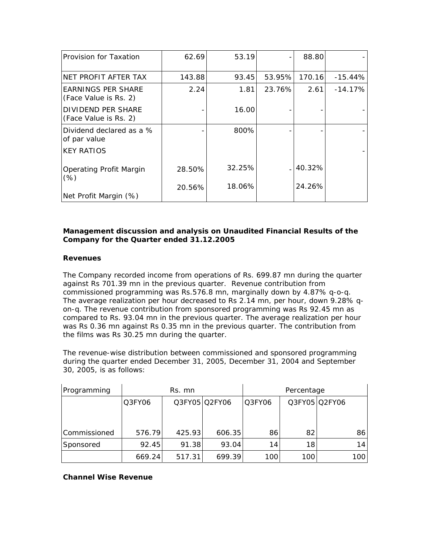| Provision for Taxation                      | 62.69  | 53.19  |        | 88.80    |           |
|---------------------------------------------|--------|--------|--------|----------|-----------|
| NET PROFIT AFTER TAX                        | 143.88 | 93.45  | 53.95% | 170.16   | $-15.44%$ |
| EARNINGS PER SHARE<br>(Face Value is Rs. 2) | 2.24   | 1.81   | 23.76% | 2.61     | $-14.17%$ |
| DIVIDEND PER SHARE<br>(Face Value is Rs. 2) |        | 16.00  |        |          |           |
| Dividend declared as a %<br>of par value    |        | 800%   |        |          |           |
| <b>KEY RATIOS</b>                           |        |        |        |          |           |
| <b>Operating Profit Margin</b><br>(% )      | 28.50% | 32.25% |        | . 40.32% |           |
| Net Profit Margin (%)                       | 20.56% | 18.06% |        | 24.26%   |           |

## *Management discussion and analysis on Unaudited Financial Results of the Company for the Quarter ended 31.12.2005*

## **Revenues**

The Company recorded income from operations of Rs. 699.87 mn during the quarter against Rs 701.39 mn in the previous quarter. Revenue contribution from commissioned programming was Rs.576.8 mn, marginally down by 4.87% q-o-q. The average realization per hour decreased to Rs 2.14 mn, per hour, down 9.28% qon-q. The revenue contribution from sponsored programming was Rs 92.45 mn as compared to Rs. 93.04 mn in the previous quarter. The average realization per hour was Rs 0.36 mn against Rs 0.35 mn in the previous quarter. The contribution from the films was Rs 30.25 mn during the quarter.

The revenue-wise distribution between commissioned and sponsored programming during the quarter ended December 31, 2005, December 31, 2004 and September 30, 2005, is as follows:

| Programming  | Rs. mn |        |               | Percentage |     |               |
|--------------|--------|--------|---------------|------------|-----|---------------|
|              | Q3FY06 |        | Q3FY05 Q2FY06 | Q3FY06     |     | Q3FY05 Q2FY06 |
|              |        |        |               |            |     |               |
|              |        |        |               |            |     |               |
| Commissioned | 576.79 | 425.93 | 606.35        | 86         | 82  | 86            |
| Sponsored    | 92.45  | 91.38  | 93.04         | 14         | 18  | 14            |
|              | 669.24 | 517.31 | 699.39        | 100        | 100 | 100           |

## **Channel Wise Revenue**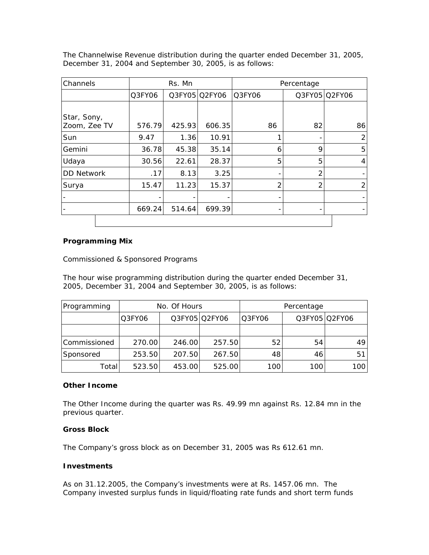The Channelwise Revenue distribution during the quarter ended December 31, 2005, December 31, 2004 and September 30, 2005, is as follows:

| Channels          | Rs. Mn |        | Percentage    |        |    |               |
|-------------------|--------|--------|---------------|--------|----|---------------|
|                   | Q3FY06 |        | Q3FY05 Q2FY06 | Q3FY06 |    | Q3FY05 Q2FY06 |
|                   |        |        |               |        |    |               |
| Star, Sony,       |        |        |               |        |    |               |
| Zoom, Zee TV      | 576.79 | 425.93 | 606.35        | 86     | 82 | 86            |
| Sun               | 9.47   | 1.36   | 10.91         |        |    | 2             |
| Gemini            | 36.78  | 45.38  | 35.14         | 6      | 9  | 5             |
| Udaya             | 30.56  | 22.61  | 28.37         | 5      | 5  | 4             |
| <b>DD Network</b> | .17    | 8.13   | 3.25          |        | 2  |               |
| Surya             | 15.47  | 11.23  | 15.37         | 2      | 2  | 2             |
|                   |        |        |               |        |    |               |
|                   | 669.24 | 514.64 | 699.39        |        | -  |               |
|                   |        |        |               |        |    |               |

## **Programming Mix**

#### Commissioned & Sponsored Programs

The hour wise programming distribution during the quarter ended December 31, 2005, December 31, 2004 and September 30, 2005, is as follows:

| Programming  | No. Of Hours |        |               | Percentage |     |               |
|--------------|--------------|--------|---------------|------------|-----|---------------|
|              | Q3FY06       |        | Q3FY05 Q2FY06 | Q3FY06     |     | Q3FY05 Q2FY06 |
|              |              |        |               |            |     |               |
| Commissioned | 270.00       | 246.00 | 257.50        | 52         | 54  | 49            |
| Sponsored    | 253.50       | 207.50 | 267.50        | 48         | 46  | 51            |
| Total        | 523.50       | 453.00 | 525.00        | 100        | 100 | 100           |

#### **Other Income**

The Other Income during the quarter was Rs. 49.99 mn against Rs. 12.84 mn in the previous quarter.

#### **Gross Block**

The Company's gross block as on December 31, 2005 was Rs 612.61 mn.

#### **Investments**

As on 31.12.2005, the Company's investments were at Rs. 1457.06 mn. The Company invested surplus funds in liquid/floating rate funds and short term funds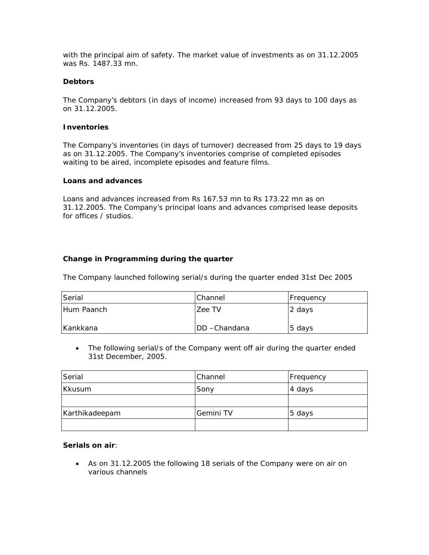with the principal aim of safety. *The market value of investments as on 31.12.2005 was Rs. 1487.33 mn.*

### **Debtors**

The Company's debtors (in days of income) increased from 93 days to 100 days as on 31.12.2005.

#### **Inventories**

The Company's inventories (in days of turnover) decreased from 25 days to 19 days as on 31.12.2005. The Company's inventories comprise of completed episodes waiting to be aired, incomplete episodes and feature films.

#### **Loans and advances**

Loans and advances increased from Rs 167.53 mn to Rs 173.22 mn as on 31.12.2005. The Company's principal loans and advances comprised lease deposits for offices / studios.

## **Change in Programming during the quarter**

The Company launched following serial/s during the quarter ended 31st Dec 2005

| Serial     | Channel               | <b>Frequency</b> |
|------------|-----------------------|------------------|
| Hum Paanch | Zee TV                | 2 days           |
| Kankkana   | <b>IDD</b> - Chandana | 5 days           |

• The following serial/s of the Company went off air during the quarter ended 31st December, 2005.

| Serial         | Channel   | <b>IFrequency</b> |
|----------------|-----------|-------------------|
| l Kkusum       | Sony      | 4 days            |
|                |           |                   |
| Karthikadeepam | Gemini TV | 5 days            |
|                |           |                   |

#### **Serials on air**:

• As on 31.12.2005 the following 18 serials of the Company were on air on various channels